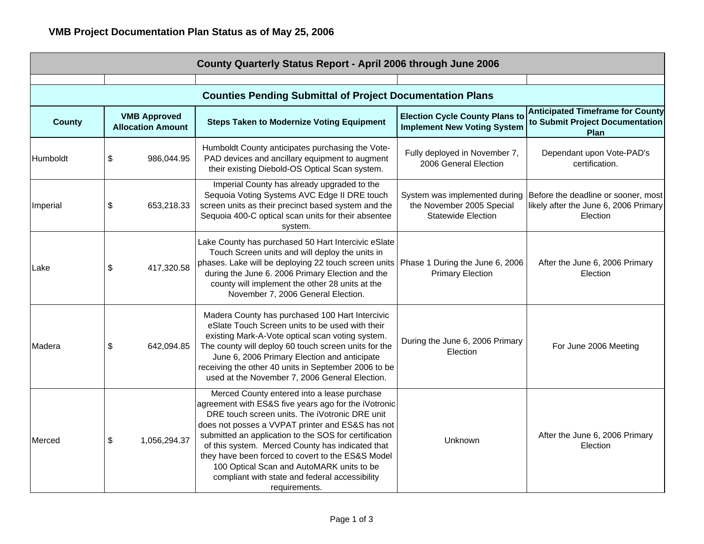| County Quarterly Status Report - April 2006 through June 2006 |                                                 |                                                                                                                                                                                                                                                                                                                                                                                                                                                                                             |                                                                                         |                                                                                          |  |  |  |
|---------------------------------------------------------------|-------------------------------------------------|---------------------------------------------------------------------------------------------------------------------------------------------------------------------------------------------------------------------------------------------------------------------------------------------------------------------------------------------------------------------------------------------------------------------------------------------------------------------------------------------|-----------------------------------------------------------------------------------------|------------------------------------------------------------------------------------------|--|--|--|
|                                                               |                                                 |                                                                                                                                                                                                                                                                                                                                                                                                                                                                                             |                                                                                         |                                                                                          |  |  |  |
| <b>County</b>                                                 | <b>VMB Approved</b><br><b>Allocation Amount</b> | <b>Counties Pending Submittal of Project Documentation Plans</b><br><b>Steps Taken to Modernize Voting Equipment</b>                                                                                                                                                                                                                                                                                                                                                                        | <b>Election Cycle County Plans to</b><br><b>Implement New Voting System</b>             | <b>Anticipated Timeframe for County</b><br>to Submit Project Documentation<br>Plan       |  |  |  |
| Humboldt                                                      | \$<br>986,044.95                                | Humboldt County anticipates purchasing the Vote-<br>PAD devices and ancillary equipment to augment<br>their existing Diebold-OS Optical Scan system.                                                                                                                                                                                                                                                                                                                                        | Fully deployed in November 7,<br>2006 General Election                                  | Dependant upon Vote-PAD's<br>certification.                                              |  |  |  |
| Imperial                                                      | \$<br>653,218.33                                | Imperial County has already upgraded to the<br>Sequoia Voting Systems AVC Edge II DRE touch<br>screen units as their precinct based system and the<br>Sequoia 400-C optical scan units for their absentee<br>system.                                                                                                                                                                                                                                                                        | System was implemented during<br>the November 2005 Special<br><b>Statewide Election</b> | Before the deadline or sooner, most<br>likely after the June 6, 2006 Primary<br>Election |  |  |  |
| Lake                                                          | 417,320.58<br>\$                                | Lake County has purchased 50 Hart Intercivic eSlate<br>Touch Screen units and will deploy the units in<br>phases. Lake will be deploying 22 touch screen units Phase 1 During the June 6, 2006<br>during the June 6. 2006 Primary Election and the<br>county will implement the other 28 units at the<br>November 7, 2006 General Election.                                                                                                                                                 | <b>Primary Election</b>                                                                 | After the June 6, 2006 Primary<br>Election                                               |  |  |  |
| lMadera                                                       | \$<br>642,094.85                                | Madera County has purchased 100 Hart Intercivic<br>eSlate Touch Screen units to be used with their<br>existing Mark-A-Vote optical scan voting system.<br>The county will deploy 60 touch screen units for the<br>June 6, 2006 Primary Election and anticipate<br>receiving the other 40 units in September 2006 to be<br>used at the November 7, 2006 General Election.                                                                                                                    | During the June 6, 2006 Primary<br>Election                                             | For June 2006 Meeting                                                                    |  |  |  |
| Merced                                                        | \$<br>1,056,294.37                              | Merced County entered into a lease purchase<br>agreement with ES&S five years ago for the iVotronic<br>DRE touch screen units. The iVotronic DRE unit<br>does not posses a VVPAT printer and ES&S has not<br>submitted an application to the SOS for certification<br>of this system. Merced County has indicated that<br>they have been forced to covert to the ES&S Model<br>100 Optical Scan and AutoMARK units to be<br>compliant with state and federal accessibility<br>requirements. | Unknown                                                                                 | After the June 6, 2006 Primary<br>Election                                               |  |  |  |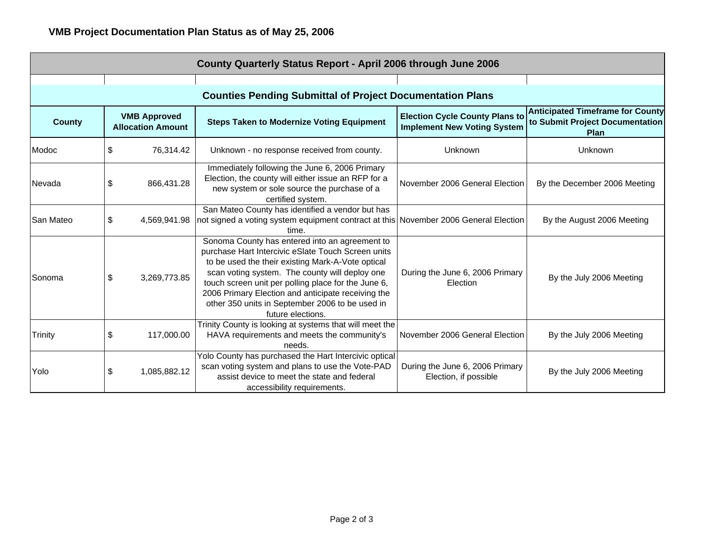| County Quarterly Status Report - April 2006 through June 2006    |    |                                                 |                                                                                                                                                                                                                                                                                                                                                                                                  |                                                                             |                                                                                    |  |  |  |  |
|------------------------------------------------------------------|----|-------------------------------------------------|--------------------------------------------------------------------------------------------------------------------------------------------------------------------------------------------------------------------------------------------------------------------------------------------------------------------------------------------------------------------------------------------------|-----------------------------------------------------------------------------|------------------------------------------------------------------------------------|--|--|--|--|
|                                                                  |    |                                                 |                                                                                                                                                                                                                                                                                                                                                                                                  |                                                                             |                                                                                    |  |  |  |  |
| <b>Counties Pending Submittal of Project Documentation Plans</b> |    |                                                 |                                                                                                                                                                                                                                                                                                                                                                                                  |                                                                             |                                                                                    |  |  |  |  |
| <b>County</b>                                                    |    | <b>VMB Approved</b><br><b>Allocation Amount</b> | <b>Steps Taken to Modernize Voting Equipment</b>                                                                                                                                                                                                                                                                                                                                                 | <b>Election Cycle County Plans to</b><br><b>Implement New Voting System</b> | <b>Anticipated Timeframe for County</b><br>to Submit Project Documentation<br>Plan |  |  |  |  |
| Modoc                                                            | \$ | 76,314.42                                       | Unknown - no response received from county.                                                                                                                                                                                                                                                                                                                                                      | Unknown                                                                     | Unknown                                                                            |  |  |  |  |
| Nevada                                                           | \$ | 866,431.28                                      | Immediately following the June 6, 2006 Primary<br>Election, the county will either issue an RFP for a<br>new system or sole source the purchase of a<br>certified system.                                                                                                                                                                                                                        | November 2006 General Election                                              | By the December 2006 Meeting                                                       |  |  |  |  |
| <b>San Mateo</b>                                                 | \$ | 4,569,941.98                                    | San Mateo County has identified a vendor but has<br>not signed a voting system equipment contract at this November 2006 General Election<br>time.                                                                                                                                                                                                                                                |                                                                             | By the August 2006 Meeting                                                         |  |  |  |  |
| Sonoma                                                           | \$ | 3,269,773.85                                    | Sonoma County has entered into an agreement to<br>purchase Hart Intercivic eSlate Touch Screen units<br>to be used the their existing Mark-A-Vote optical<br>scan voting system. The county will deploy one<br>touch screen unit per polling place for the June 6,<br>2006 Primary Election and anticipate receiving the<br>other 350 units in September 2006 to be used in<br>future elections. | During the June 6, 2006 Primary<br>Election                                 | By the July 2006 Meeting                                                           |  |  |  |  |
| <b>Trinity</b>                                                   | \$ | 117,000.00                                      | Trinity County is looking at systems that will meet the<br>HAVA requirements and meets the community's<br>needs.                                                                                                                                                                                                                                                                                 | November 2006 General Election                                              | By the July 2006 Meeting                                                           |  |  |  |  |
| Yolo                                                             | \$ | 1,085,882.12                                    | Yolo County has purchased the Hart Intercivic optical<br>scan voting system and plans to use the Vote-PAD<br>assist device to meet the state and federal<br>accessibility requirements.                                                                                                                                                                                                          | During the June 6, 2006 Primary<br>Election, if possible                    | By the July 2006 Meeting                                                           |  |  |  |  |